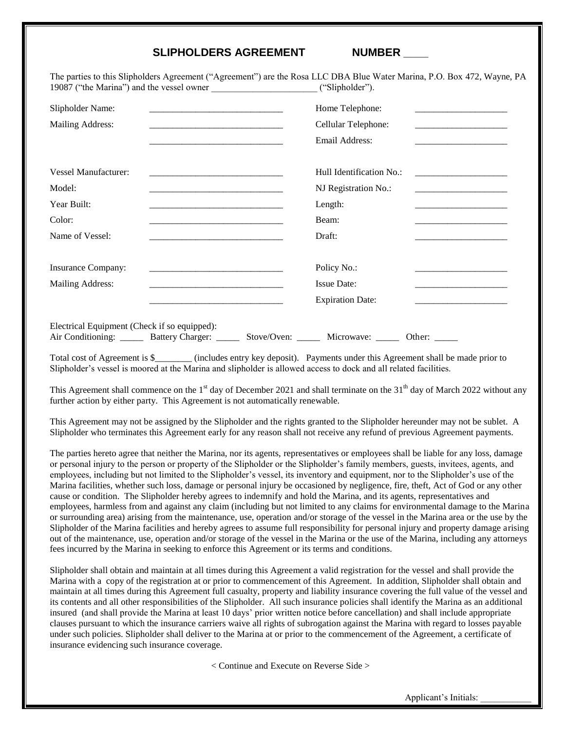## **SLIPHOLDERS AGREEMENT NUMBER \_\_\_\_**

The parties to this Slipholders Agreement ("Agreement") are the Rosa LLC DBA Blue Water Marina, P.O. Box 472, Wayne, PA 19087 ("the Marina") and the vessel owner \_\_\_\_\_\_\_\_\_\_\_\_\_\_\_\_\_\_\_\_\_\_\_ ("Slipholder").

|                                                                         | Home Telephone:<br>Cellular Telephone:<br>Email Address:                                                                                                                                                | <u> 1989 - Johann Barbara, martin amerikan ba</u>                                                                                                            |
|-------------------------------------------------------------------------|---------------------------------------------------------------------------------------------------------------------------------------------------------------------------------------------------------|--------------------------------------------------------------------------------------------------------------------------------------------------------------|
|                                                                         | NJ Registration No.:<br>Length:<br>Beam:<br>Draft:                                                                                                                                                      | the contract of the contract of the contract of the contract of<br>the control of the control of the control of the control of the control of the control of |
|                                                                         | Policy No.:<br><b>Issue Date:</b><br><b>Expiration Date:</b>                                                                                                                                            | <u> 2000 - Jan James James Jan James James Jan James James Jan James James Jan James James James James James James</u><br>Other:                             |
| Electrical Equipment (Check if so equipped):<br><b>Battery Charger:</b> | <u> 1980 - Johann Barbara, margaret eta idazlea (h. 1980).</u><br><u> 1980 - Johann John Stein, markin fan it ferskearre fan it ferskearre fan it ferskearre fan it ferskearre fan i</u><br>Stove/Oven: | Hull Identification No.:<br>Air Conditioning: ______<br>Microwave:                                                                                           |

Total cost of Agreement is \$\_\_\_\_\_\_\_\_ (includes entry key deposit). Payments under this Agreement shall be made prior to Slipholder's vessel is moored at the Marina and slipholder is allowed access to dock and all related facilities.

This Agreement shall commence on the  $1<sup>st</sup>$  day of December 2021 and shall terminate on the  $31<sup>th</sup>$  day of March 2022 without any further action by either party. This Agreement is not automatically renewable.

This Agreement may not be assigned by the Slipholder and the rights granted to the Slipholder hereunder may not be sublet. A Slipholder who terminates this Agreement early for any reason shall not receive any refund of previous Agreement payments.

The parties hereto agree that neither the Marina, nor its agents, representatives or employees shall be liable for any loss, damage or personal injury to the person or property of the Slipholder or the Slipholder's family members, guests, invitees, agents, and employees, including but not limited to the Slipholder's vessel, its inventory and equipment, nor to the Slipholder's use of the Marina facilities, whether such loss, damage or personal injury be occasioned by negligence, fire, theft, Act of God or any other cause or condition. The Slipholder hereby agrees to indemnify and hold the Marina, and its agents, representatives and employees, harmless from and against any claim (including but not limited to any claims for environmental damage to the Marina or surrounding area) arising from the maintenance, use, operation and/or storage of the vessel in the Marina area or the use by the Slipholder of the Marina facilities and hereby agrees to assume full responsibility for personal injury and property damage arising out of the maintenance, use, operation and/or storage of the vessel in the Marina or the use of the Marina, including any attorneys fees incurred by the Marina in seeking to enforce this Agreement or its terms and conditions.

Slipholder shall obtain and maintain at all times during this Agreement a valid registration for the vessel and shall provide the Marina with a copy of the registration at or prior to commencement of this Agreement. In addition, Slipholder shall obtain and maintain at all times during this Agreement full casualty, property and liability insurance covering the full value of the vessel and its contents and all other responsibilities of the Slipholder. All such insurance policies shall identify the Marina as an additional insured (and shall provide the Marina at least 10 days' prior written notice before cancellation) and shall include appropriate clauses pursuant to which the insurance carriers waive all rights of subrogation against the Marina with regard to losses payable under such policies. Slipholder shall deliver to the Marina at or prior to the commencement of the Agreement, a certificate of insurance evidencing such insurance coverage.

< Continue and Execute on Reverse Side >

Applicant's Initials: \_\_\_\_\_\_\_\_\_\_\_